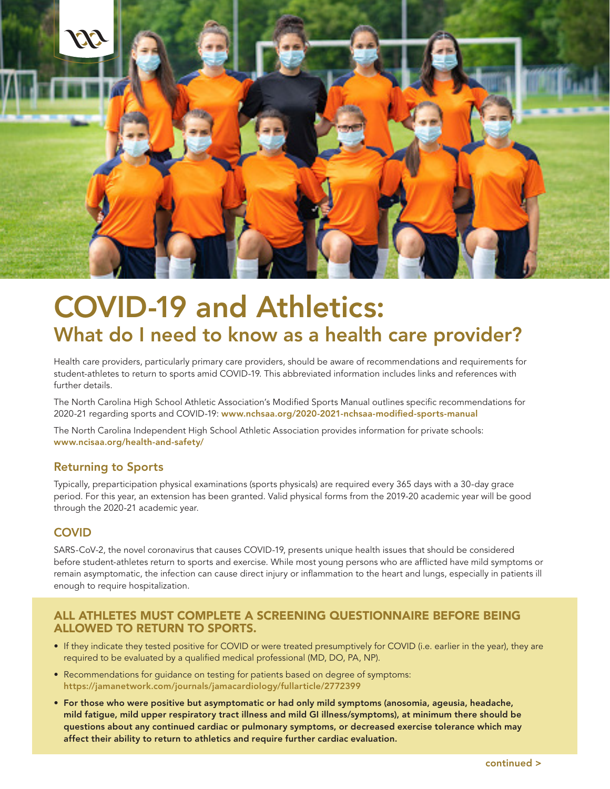

# COVID-19 and Athletics: What do I need to know as a health care provider?

Health care providers, particularly primary care providers, should be aware of recommendations and requirements for student-athletes to return to sports amid COVID-19. This abbreviated information includes links and references with further details.

The North Carolina High School Athletic Association's Modified Sports Manual outlines specific recommendations for 2020-21 regarding sports and COVID-19: www.nchsaa.org/2020-2021-nchsaa-modified-sports-manual

The North Carolina Independent High School Athletic Association provides information for private schools: www.ncisaa.org/health-and-safety/

### Returning to Sports

Typically, preparticipation physical examinations (sports physicals) are required every 365 days with a 30-day grace period. For this year, an extension has been granted. Valid physical forms from the 2019-20 academic year will be good through the 2020-21 academic year.

### **COVID**

SARS-CoV-2, the novel coronavirus that causes COVID-19, presents unique health issues that should be considered before student-athletes return to sports and exercise. While most young persons who are afflicted have mild symptoms or remain asymptomatic, the infection can cause direct injury or inflammation to the heart and lungs, especially in patients ill enough to require hospitalization.

#### ALL ATHLETES MUST COMPLETE A SCREENING QUESTIONNAIRE BEFORE BEING ALLOWED TO RETURN TO SPORTS.

- If they indicate they tested positive for COVID or were treated presumptively for COVID (i.e. earlier in the year), they are required to be evaluated by a qualified medical professional (MD, DO, PA, NP).
- Recommendations for guidance on testing for patients based on degree of symptoms: https://jamanetwork.com/journals/jamacardiology/fullarticle/2772399
- For those who were positive but asymptomatic or had only mild symptoms (anosomia, ageusia, headache, mild fatigue, mild upper respiratory tract illness and mild GI illness/symptoms), at minimum there should be questions about any continued cardiac or pulmonary symptoms, or decreased exercise tolerance which may affect their ability to return to athletics and require further cardiac evaluation.